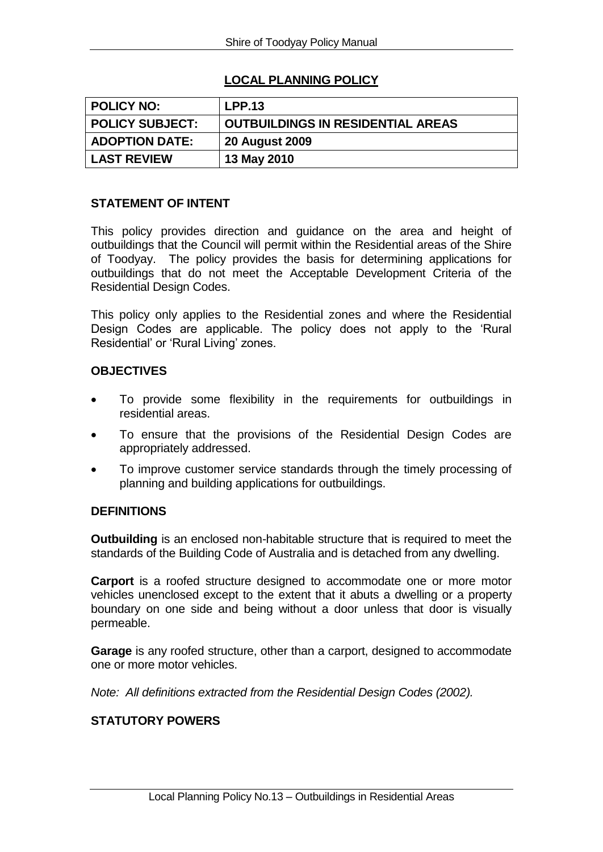# **LOCAL PLANNING POLICY**

| <b>POLICY NO:</b>      | <b>LPP.13</b>                            |
|------------------------|------------------------------------------|
|                        |                                          |
| <b>POLICY SUBJECT:</b> | <b>OUTBUILDINGS IN RESIDENTIAL AREAS</b> |
|                        |                                          |
| <b>ADOPTION DATE:</b>  | <b>20 August 2009</b>                    |
|                        |                                          |
|                        |                                          |
| <b>LAST REVIEW</b>     | 13 May 2010                              |

#### **STATEMENT OF INTENT**

This policy provides direction and guidance on the area and height of outbuildings that the Council will permit within the Residential areas of the Shire of Toodyay. The policy provides the basis for determining applications for outbuildings that do not meet the Acceptable Development Criteria of the Residential Design Codes.

This policy only applies to the Residential zones and where the Residential Design Codes are applicable. The policy does not apply to the 'Rural Residential' or 'Rural Living' zones.

#### **OBJECTIVES**

- To provide some flexibility in the requirements for outbuildings in residential areas.
- To ensure that the provisions of the Residential Design Codes are appropriately addressed.
- To improve customer service standards through the timely processing of planning and building applications for outbuildings.

#### **DEFINITIONS**

**Outbuilding** is an enclosed non-habitable structure that is required to meet the standards of the Building Code of Australia and is detached from any dwelling.

**Carport** is a roofed structure designed to accommodate one or more motor vehicles unenclosed except to the extent that it abuts a dwelling or a property boundary on one side and being without a door unless that door is visually permeable.

**Garage** is any roofed structure, other than a carport, designed to accommodate one or more motor vehicles.

*Note: All definitions extracted from the Residential Design Codes (2002).*

## **STATUTORY POWERS**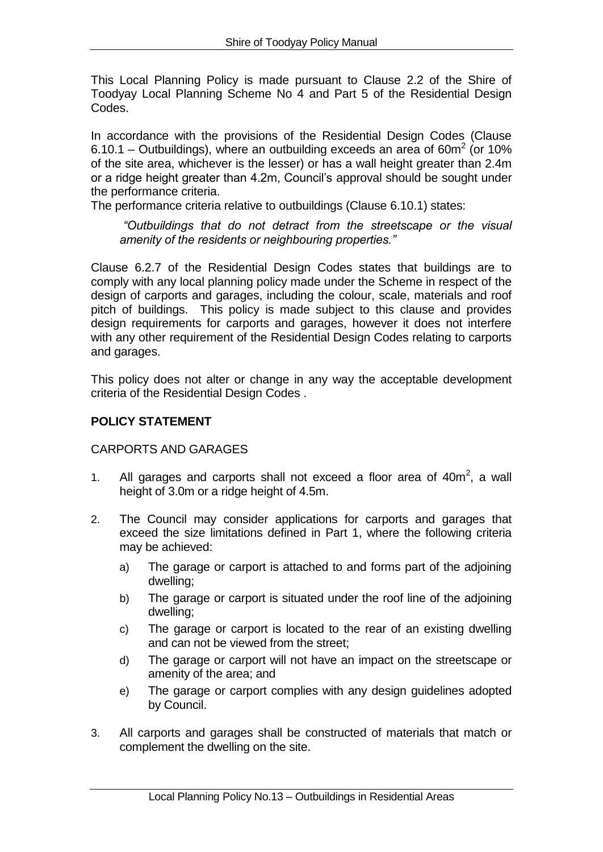This Local Planning Policy is made pursuant to Clause 2.2 of the Shire of Toodyay Local Planning Scheme No 4 and Part 5 of the Residential Design Codes.

In accordance with the provisions of the Residential Design Codes (Clause 6.10.1 – Outbuildings), where an outbuilding exceeds an area of 60 $m^2$  (or 10% of the site area, whichever is the lesser) or has a wall height greater than 2.4m or a ridge height greater than 4.2m, Council's approval should be sought under the performance criteria.

The performance criteria relative to outbuildings (Clause 6.10.1) states:

*"Outbuildings that do not detract from the streetscape or the visual amenity of the residents or neighbouring properties."*

Clause 6.2.7 of the Residential Design Codes states that buildings are to comply with any local planning policy made under the Scheme in respect of the design of carports and garages, including the colour, scale, materials and roof pitch of buildings. This policy is made subject to this clause and provides design requirements for carports and garages, however it does not interfere with any other requirement of the Residential Design Codes relating to carports and garages.

This policy does not alter or change in any way the acceptable development criteria of the Residential Design Codes .

# **POLICY STATEMENT**

## CARPORTS AND GARAGES

- 1. All garages and carports shall not exceed a floor area of  $40m^2$ , a wall height of 3.0m or a ridge height of 4.5m.
- 2. The Council may consider applications for carports and garages that exceed the size limitations defined in Part 1, where the following criteria may be achieved:
	- a) The garage or carport is attached to and forms part of the adjoining dwelling;
	- b) The garage or carport is situated under the roof line of the adjoining dwelling;
	- c) The garage or carport is located to the rear of an existing dwelling and can not be viewed from the street;
	- d) The garage or carport will not have an impact on the streetscape or amenity of the area; and
	- e) The garage or carport complies with any design guidelines adopted by Council.
- 3. All carports and garages shall be constructed of materials that match or complement the dwelling on the site.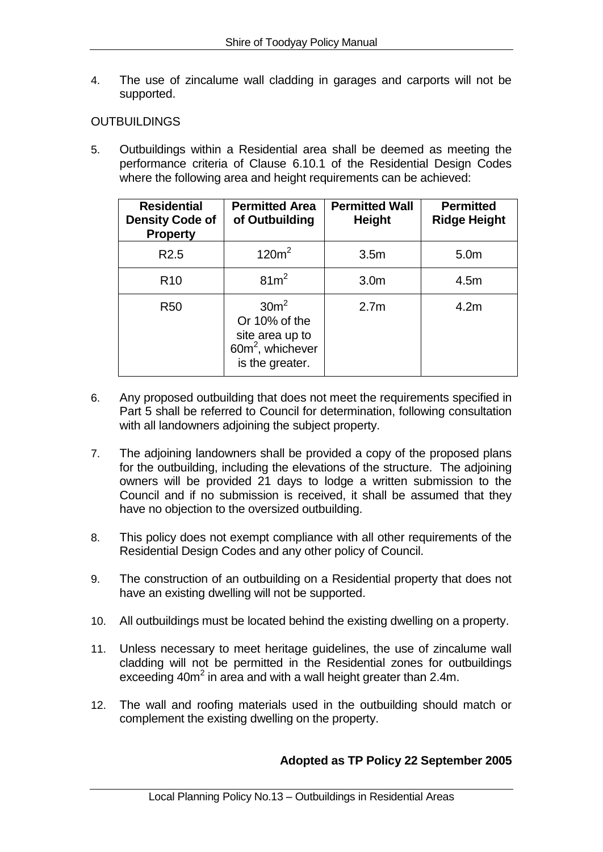4. The use of zincalume wall cladding in garages and carports will not be supported.

### OUTBUILDINGS

5. Outbuildings within a Residential area shall be deemed as meeting the performance criteria of Clause 6.10.1 of the Residential Design Codes where the following area and height requirements can be achieved:

| <b>Residential</b><br><b>Density Code of</b><br><b>Property</b> | <b>Permitted Area</b><br>of Outbuilding                                                                 | <b>Permitted Wall</b><br><b>Height</b> | <b>Permitted</b><br><b>Ridge Height</b> |
|-----------------------------------------------------------------|---------------------------------------------------------------------------------------------------------|----------------------------------------|-----------------------------------------|
| R <sub>2.5</sub>                                                | 120m <sup>2</sup>                                                                                       | 3.5 <sub>m</sub>                       | 5.0 <sub>m</sub>                        |
| R <sub>10</sub>                                                 | $81m^2$                                                                                                 | 3.0 <sub>m</sub>                       | 4.5m                                    |
| <b>R50</b>                                                      | 30 <sup>m²</sup><br>Or 10% of the<br>site area up to<br>60m <sup>2</sup> , whichever<br>is the greater. | 2.7 <sub>m</sub>                       | 4.2 <sub>m</sub>                        |

- 6. Any proposed outbuilding that does not meet the requirements specified in Part 5 shall be referred to Council for determination, following consultation with all landowners adjoining the subject property.
- 7. The adjoining landowners shall be provided a copy of the proposed plans for the outbuilding, including the elevations of the structure. The adjoining owners will be provided 21 days to lodge a written submission to the Council and if no submission is received, it shall be assumed that they have no objection to the oversized outbuilding.
- 8. This policy does not exempt compliance with all other requirements of the Residential Design Codes and any other policy of Council.
- 9. The construction of an outbuilding on a Residential property that does not have an existing dwelling will not be supported.
- 10. All outbuildings must be located behind the existing dwelling on a property.
- 11. Unless necessary to meet heritage guidelines, the use of zincalume wall cladding will not be permitted in the Residential zones for outbuildings exceeding  $40m^2$  in area and with a wall height greater than 2.4m.
- 12. The wall and roofing materials used in the outbuilding should match or complement the existing dwelling on the property.

## **Adopted as TP Policy 22 September 2005**